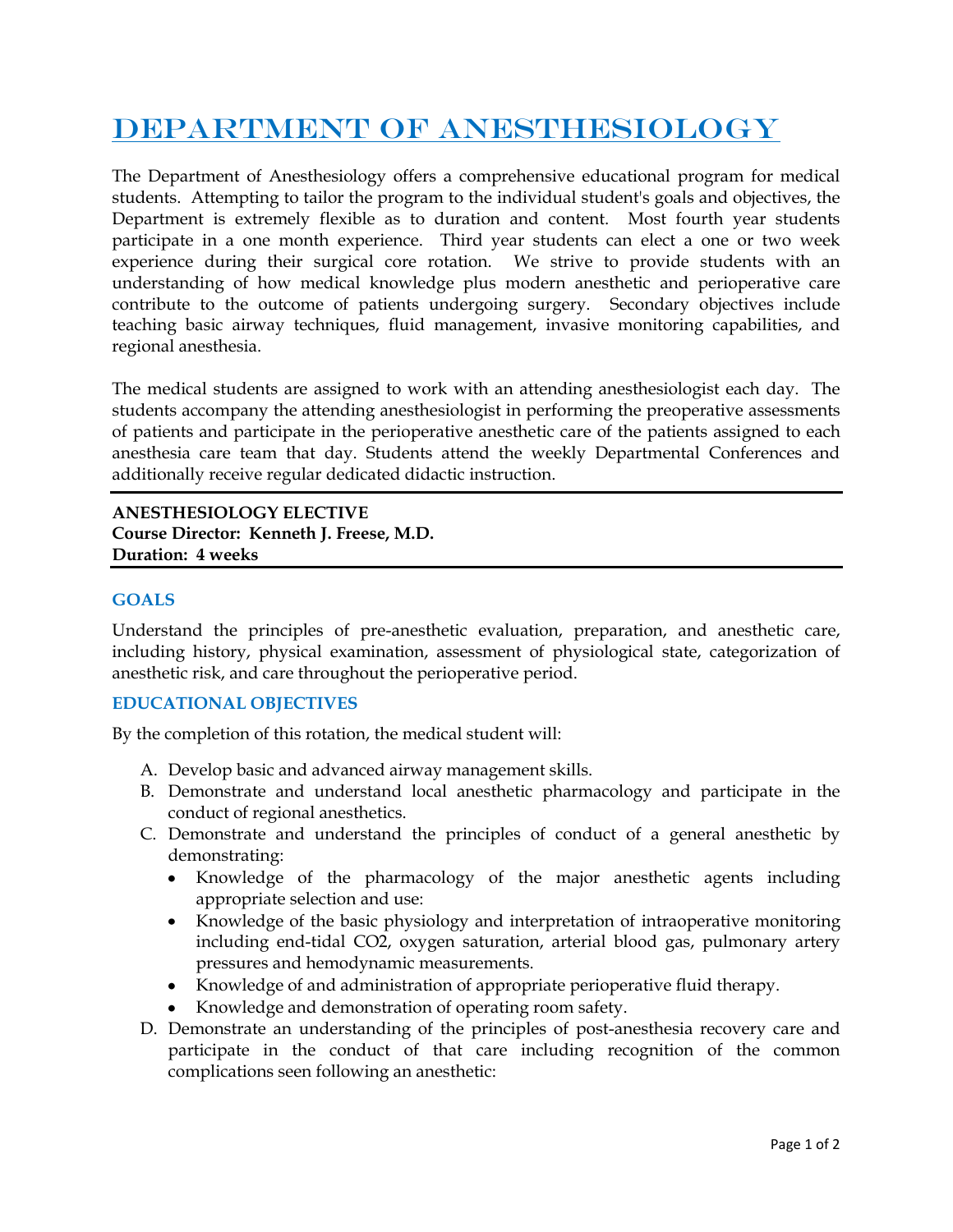# DEPARTMENT OF ANESTHESIOLOGY

The Department of Anesthesiology offers a comprehensive educational program for medical students. Attempting to tailor the program to the individual student's goals and objectives, the Department is extremely flexible as to duration and content. Most fourth year students participate in a one month experience. Third year students can elect a one or two week experience during their surgical core rotation. We strive to provide students with an understanding of how medical knowledge plus modern anesthetic and perioperative care contribute to the outcome of patients undergoing surgery. Secondary objectives include teaching basic airway techniques, fluid management, invasive monitoring capabilities, and regional anesthesia.

The medical students are assigned to work with an attending anesthesiologist each day. The students accompany the attending anesthesiologist in performing the preoperative assessments of patients and participate in the perioperative anesthetic care of the patients assigned to each anesthesia care team that day. Students attend the weekly Departmental Conferences and additionally receive regular dedicated didactic instruction.

**ANESTHESIOLOGY ELECTIVE Course Director: Kenneth J. Freese, M.D. Duration: 4 weeks**

# **GOALS**

Understand the principles of pre-anesthetic evaluation, preparation, and anesthetic care, including history, physical examination, assessment of physiological state, categorization of anesthetic risk, and care throughout the perioperative period.

## **EDUCATIONAL OBJECTIVES**

By the completion of this rotation, the medical student will:

- A. Develop basic and advanced airway management skills.
- B. Demonstrate and understand local anesthetic pharmacology and participate in the conduct of regional anesthetics.
- C. Demonstrate and understand the principles of conduct of a general anesthetic by demonstrating:
	- Knowledge of the pharmacology of the major anesthetic agents including appropriate selection and use:
	- Knowledge of the basic physiology and interpretation of intraoperative monitoring including end-tidal CO2, oxygen saturation, arterial blood gas, pulmonary artery pressures and hemodynamic measurements.
	- Knowledge of and administration of appropriate perioperative fluid therapy.
	- Knowledge and demonstration of operating room safety.
- D. Demonstrate an understanding of the principles of post-anesthesia recovery care and participate in the conduct of that care including recognition of the common complications seen following an anesthetic: